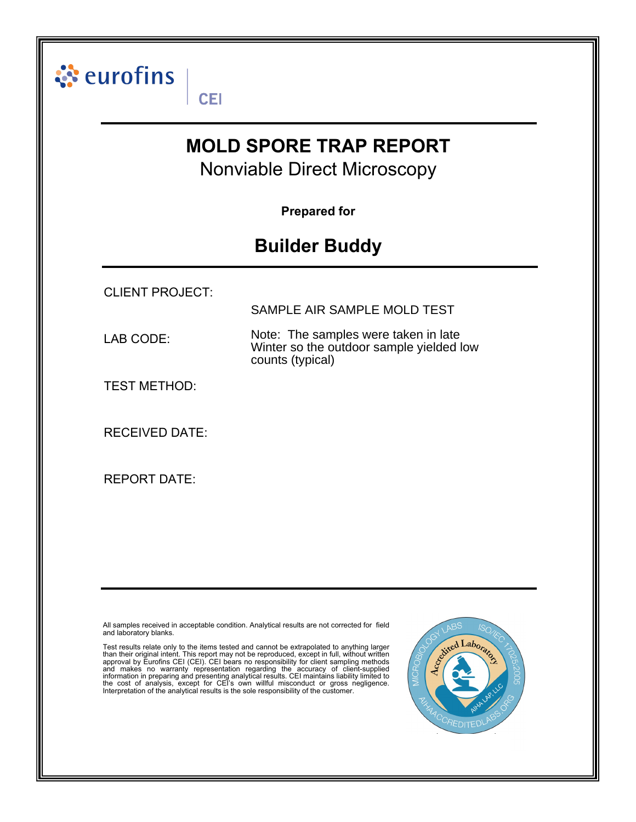

All samples received in acceptable condition. Analytical results are not corrected for field and laboratory blanks.

Test results relate only to the items tested and cannot be extrapolated to anything larger<br>than their original intent. This report may not be reproduced, except in full, without written<br>approval by Eurofins CEI (CEI). CEI Interpretation of the analytical results is the sole responsibility of the customer.

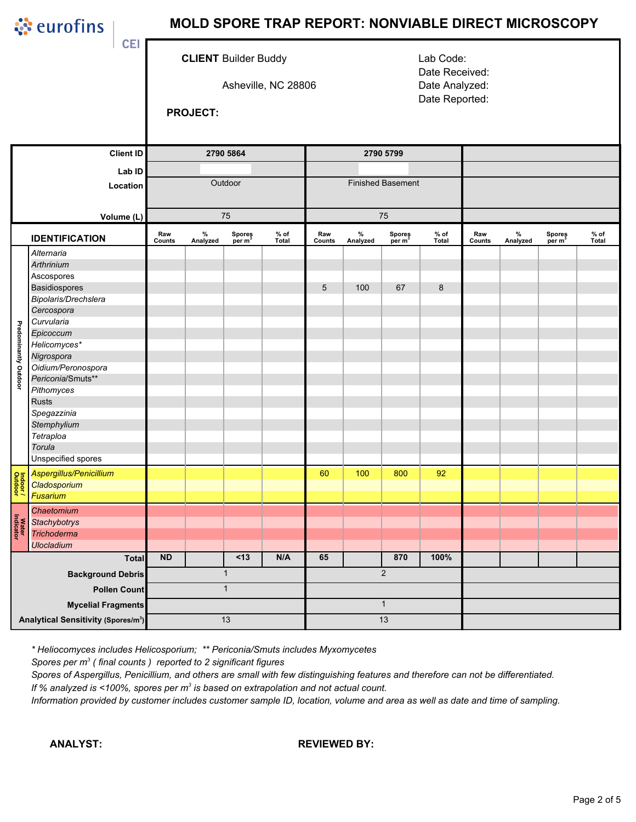ं eurofins

# MOLD SPORE TRAP REPORT: NONVIABLE DIRECT MICROSCOPY

**CLIENT Builder Buddy** 

Asheville, NC 28806

Lab Code: Date Received: Date Analyzed: Date Reported:

**PROJECT:** 

**CEI** 

|                           | <b>Client ID</b>                                | 2790 5864       |                  |                              |                        | 2790 5799                |               |                              |                 |               |                  |                              |                 |
|---------------------------|-------------------------------------------------|-----------------|------------------|------------------------------|------------------------|--------------------------|---------------|------------------------------|-----------------|---------------|------------------|------------------------------|-----------------|
| Lab ID<br>Location        |                                                 |                 |                  |                              |                        |                          |               |                              |                 |               |                  |                              |                 |
|                           |                                                 | Outdoor         |                  |                              |                        | <b>Finished Basement</b> |               |                              |                 |               |                  |                              |                 |
|                           |                                                 |                 |                  |                              |                        |                          |               |                              |                 |               |                  |                              |                 |
|                           |                                                 |                 |                  |                              |                        |                          |               |                              |                 |               |                  |                              |                 |
| Volume (L)                |                                                 | 75              |                  |                              |                        | 75                       |               |                              |                 |               |                  |                              |                 |
| <b>IDENTIFICATION</b>     |                                                 | Raw<br>Counts   | $\%$<br>Analyzed | Spores<br>per m <sup>3</sup> | $%$ of<br><b>Total</b> | Raw<br>Counts            | %<br>Analyzed | Spores<br>per m <sup>3</sup> | $%$ of<br>Total | Raw<br>Counts | $\%$<br>Analyzed | Spores<br>per m <sup>3</sup> | $%$ of<br>Total |
|                           | Alternaria                                      |                 |                  |                              |                        |                          |               |                              |                 |               |                  |                              |                 |
|                           | <b>Arthrinium</b>                               |                 |                  |                              |                        |                          |               |                              |                 |               |                  |                              |                 |
|                           | Ascospores                                      |                 |                  |                              |                        |                          |               |                              |                 |               |                  |                              |                 |
|                           | <b>Basidiospores</b>                            |                 |                  |                              |                        | $\sqrt{5}$               | 100           | 67                           | 8               |               |                  |                              |                 |
|                           | Bipolaris/Drechslera                            |                 |                  |                              |                        |                          |               |                              |                 |               |                  |                              |                 |
|                           | Cercospora                                      |                 |                  |                              |                        |                          |               |                              |                 |               |                  |                              |                 |
|                           | Curvularia                                      |                 |                  |                              |                        |                          |               |                              |                 |               |                  |                              |                 |
|                           | Epicoccum                                       |                 |                  |                              |                        |                          |               |                              |                 |               |                  |                              |                 |
| Predominantly Outdoor     | Helicomyces*                                    |                 |                  |                              |                        |                          |               |                              |                 |               |                  |                              |                 |
|                           | Nigrospora                                      |                 |                  |                              |                        |                          |               |                              |                 |               |                  |                              |                 |
|                           | Oidium/Peronospora                              |                 |                  |                              |                        |                          |               |                              |                 |               |                  |                              |                 |
|                           | Periconia/Smuts**                               |                 |                  |                              |                        |                          |               |                              |                 |               |                  |                              |                 |
|                           | Pithomyces                                      |                 |                  |                              |                        |                          |               |                              |                 |               |                  |                              |                 |
|                           | <b>Rusts</b>                                    |                 |                  |                              |                        |                          |               |                              |                 |               |                  |                              |                 |
|                           | Spegazzinia                                     |                 |                  |                              |                        |                          |               |                              |                 |               |                  |                              |                 |
|                           | Stemphylium                                     |                 |                  |                              |                        |                          |               |                              |                 |               |                  |                              |                 |
|                           | Tetraploa                                       |                 |                  |                              |                        |                          |               |                              |                 |               |                  |                              |                 |
|                           | Torula                                          |                 |                  |                              |                        |                          |               |                              |                 |               |                  |                              |                 |
|                           | Unspecified spores                              |                 |                  |                              |                        |                          |               |                              |                 |               |                  |                              |                 |
|                           | Aspergillus/Penicillium                         |                 |                  |                              |                        | 60                       | 100           | 800                          | 92              |               |                  |                              |                 |
| Indoor/<br>Outdoor        | Cladosporium                                    |                 |                  |                              |                        |                          |               |                              |                 |               |                  |                              |                 |
|                           | Fusarium                                        |                 |                  |                              |                        |                          |               |                              |                 |               |                  |                              |                 |
|                           | Chaetomium                                      |                 |                  |                              |                        |                          |               |                              |                 |               |                  |                              |                 |
|                           | <b>Stachybotrys</b>                             |                 |                  |                              |                        |                          |               |                              |                 |               |                  |                              |                 |
| <b>Water</b><br>Indicator | <b>Trichoderma</b>                              |                 |                  |                              |                        |                          |               |                              |                 |               |                  |                              |                 |
|                           | <b>Ulocladium</b>                               |                 |                  |                              |                        |                          |               |                              |                 |               |                  |                              |                 |
| <b>Total</b>              |                                                 | <b>ND</b>       |                  | < 13                         | N/A                    | 65                       |               | 870                          | 100%            |               |                  |                              |                 |
|                           | <b>Background Debris</b>                        | $\mathbf{1}$    |                  |                              |                        | $\sqrt{2}$               |               |                              |                 |               |                  |                              |                 |
| <b>Pollen Count</b>       |                                                 | $\overline{1}$  |                  |                              |                        |                          |               |                              |                 |               |                  |                              |                 |
|                           | <b>Mycelial Fragments</b>                       |                 |                  |                              |                        | $\mathbf{1}$             |               |                              |                 |               |                  |                              |                 |
|                           | Analytical Sensitivity (Spores/m <sup>3</sup> ) | $\overline{13}$ |                  |                              |                        | $\overline{13}$          |               |                              |                 |               |                  |                              |                 |
|                           |                                                 |                 |                  |                              |                        |                          |               |                              |                 |               |                  |                              |                 |

\* Heliocomyces includes Helicosporium; \*\* Periconia/Smuts includes Myxomycetes

Spores per  $m^3$  (final counts) reported to 2 significant figures

Spores of Aspergillus, Penicillium, and others are small with few distinguishing features and therefore can not be differentiated. If % analyzed is <100%, spores per  $m^3$  is based on extrapolation and not actual count.

Information provided by customer includes customer sample ID, location, volume and area as well as date and time of sampling.

**ANALYST:** 

#### **REVIEWED BY:**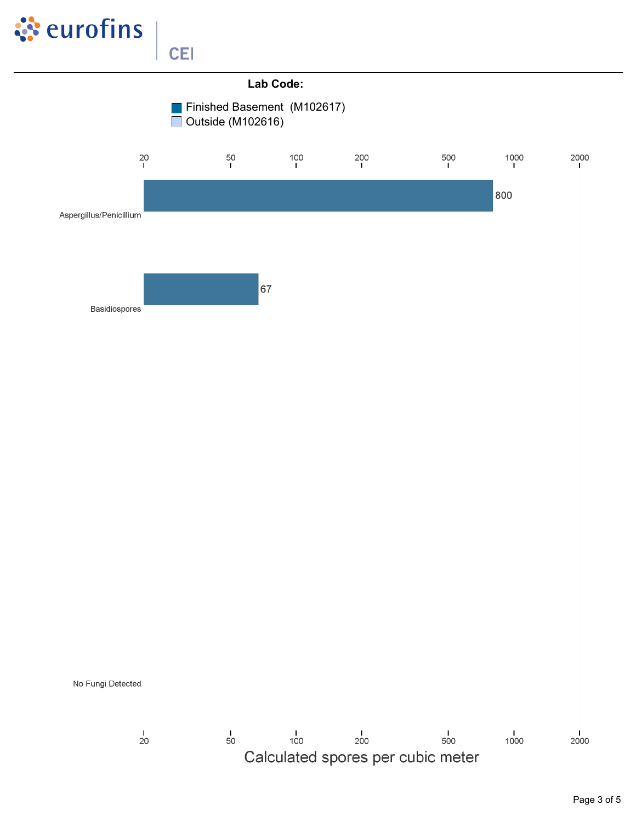

**CEI** 

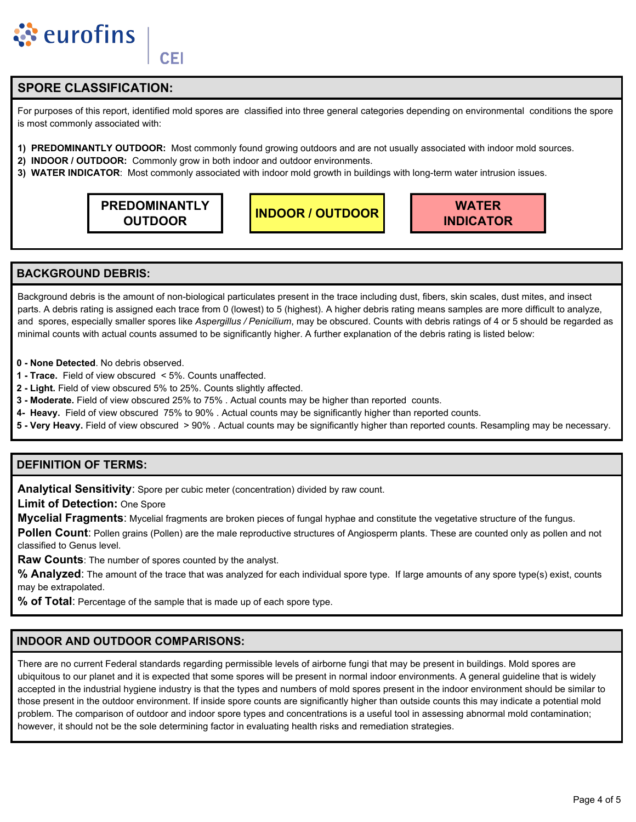

**CEI** 

## **SPORE CLASSIFICATION:**

For purposes of this report, identified mold spores are classified into three general categories depending on environmental conditions the spore is most commonly associated with:

- 1) PREDOMINANTLY OUTDOOR: Most commonly found growing outdoors and are not usually associated with indoor mold sources.
- 2) INDOOR / OUTDOOR: Commonly grow in both indoor and outdoor environments.
- 3) WATER INDICATOR: Most commonly associated with indoor mold growth in buildings with long-term water intrusion issues.

**PREDOMINANTLY OUTDOOR** 

**INDOOR / OUTDOOR** 



### **BACKGROUND DEBRIS:**

Background debris is the amount of non-biological particulates present in the trace including dust, fibers, skin scales, dust mites, and insect parts. A debris rating is assigned each trace from 0 (lowest) to 5 (highest). A higher debris rating means samples are more difficult to analyze, and spores, especially smaller spores like Aspergillus / Penicilium, may be obscured. Counts with debris ratings of 4 or 5 should be regarded as minimal counts with actual counts assumed to be significantly higher. A further explanation of the debris rating is listed below:

- 0 None Detected. No debris observed.
- 1 Trace. Field of view obscured < 5%. Counts unaffected.
- 2 Light. Field of view obscured 5% to 25%. Counts slightly affected.
- 3 Moderate. Field of view obscured 25% to 75% . Actual counts may be higher than reported counts.
- 4- Heavy. Field of view obscured 75% to 90%. Actual counts may be significantly higher than reported counts.
- 5 Very Heavy. Field of view obscured > 90% . Actual counts may be significantly higher than reported counts. Resampling may be necessary.

## **DEFINITION OF TERMS:**

Analytical Sensitivity: Spore per cubic meter (concentration) divided by raw count.

**Limit of Detection: One Spore** 

Mycelial Fragments: Mycelial fragments are broken pieces of fungal hyphae and constitute the vegetative structure of the fungus.

Pollen Count: Pollen grains (Pollen) are the male reproductive structures of Angiosperm plants. These are counted only as pollen and not classified to Genus level.

Raw Counts: The number of spores counted by the analyst.

% Analyzed: The amount of the trace that was analyzed for each individual spore type. If large amounts of any spore type(s) exist, counts may be extrapolated.

% of Total: Percentage of the sample that is made up of each spore type.

### **INDOOR AND OUTDOOR COMPARISONS:**

There are no current Federal standards regarding permissible levels of airborne fungi that may be present in buildings. Mold spores are ubiquitous to our planet and it is expected that some spores will be present in normal indoor environments. A general quideline that is widely accepted in the industrial hygiene industry is that the types and numbers of mold spores present in the indoor environment should be similar to those present in the outdoor environment. If inside spore counts are significantly higher than outside counts this may indicate a potential mold problem. The comparison of outdoor and indoor spore types and concentrations is a useful tool in assessing abnormal mold contamination; however, it should not be the sole determining factor in evaluating health risks and remediation strategies.